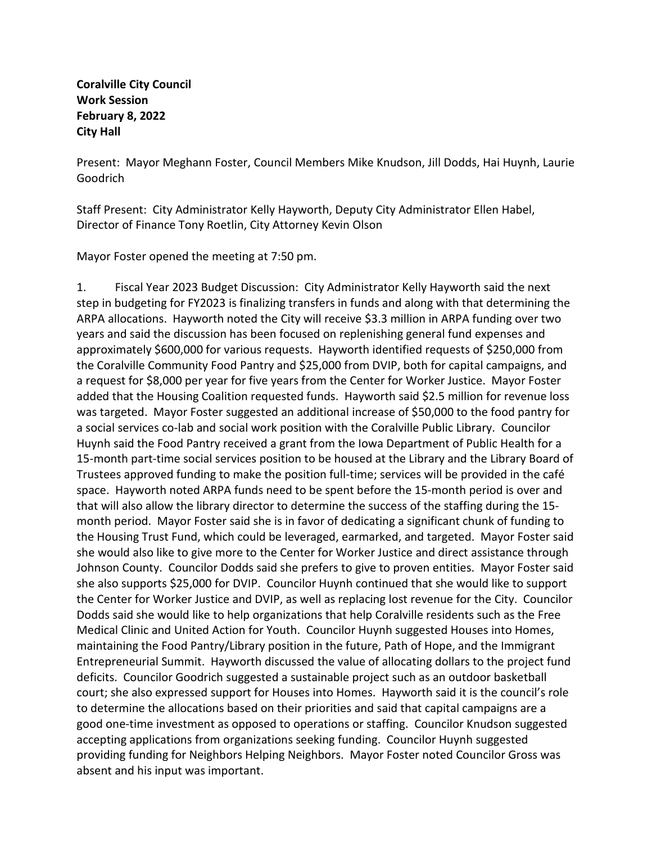**Coralville City Council Work Session February 8, 2022 City Hall**

Present: Mayor Meghann Foster, Council Members Mike Knudson, Jill Dodds, Hai Huynh, Laurie Goodrich

Staff Present: City Administrator Kelly Hayworth, Deputy City Administrator Ellen Habel, Director of Finance Tony Roetlin, City Attorney Kevin Olson

Mayor Foster opened the meeting at 7:50 pm.

1. Fiscal Year 2023 Budget Discussion: City Administrator Kelly Hayworth said the next step in budgeting for FY2023 is finalizing transfers in funds and along with that determining the ARPA allocations. Hayworth noted the City will receive \$3.3 million in ARPA funding over two years and said the discussion has been focused on replenishing general fund expenses and approximately \$600,000 for various requests. Hayworth identified requests of \$250,000 from the Coralville Community Food Pantry and \$25,000 from DVIP, both for capital campaigns, and a request for \$8,000 per year for five years from the Center for Worker Justice. Mayor Foster added that the Housing Coalition requested funds. Hayworth said \$2.5 million for revenue loss was targeted. Mayor Foster suggested an additional increase of \$50,000 to the food pantry for a social services co-lab and social work position with the Coralville Public Library. Councilor Huynh said the Food Pantry received a grant from the Iowa Department of Public Health for a 15-month part-time social services position to be housed at the Library and the Library Board of Trustees approved funding to make the position full-time; services will be provided in the café space. Hayworth noted ARPA funds need to be spent before the 15-month period is over and that will also allow the library director to determine the success of the staffing during the 15 month period. Mayor Foster said she is in favor of dedicating a significant chunk of funding to the Housing Trust Fund, which could be leveraged, earmarked, and targeted. Mayor Foster said she would also like to give more to the Center for Worker Justice and direct assistance through Johnson County. Councilor Dodds said she prefers to give to proven entities. Mayor Foster said she also supports \$25,000 for DVIP. Councilor Huynh continued that she would like to support the Center for Worker Justice and DVIP, as well as replacing lost revenue for the City. Councilor Dodds said she would like to help organizations that help Coralville residents such as the Free Medical Clinic and United Action for Youth. Councilor Huynh suggested Houses into Homes, maintaining the Food Pantry/Library position in the future, Path of Hope, and the Immigrant Entrepreneurial Summit. Hayworth discussed the value of allocating dollars to the project fund deficits. Councilor Goodrich suggested a sustainable project such as an outdoor basketball court; she also expressed support for Houses into Homes. Hayworth said it is the council's role to determine the allocations based on their priorities and said that capital campaigns are a good one-time investment as opposed to operations or staffing. Councilor Knudson suggested accepting applications from organizations seeking funding. Councilor Huynh suggested providing funding for Neighbors Helping Neighbors. Mayor Foster noted Councilor Gross was absent and his input was important.